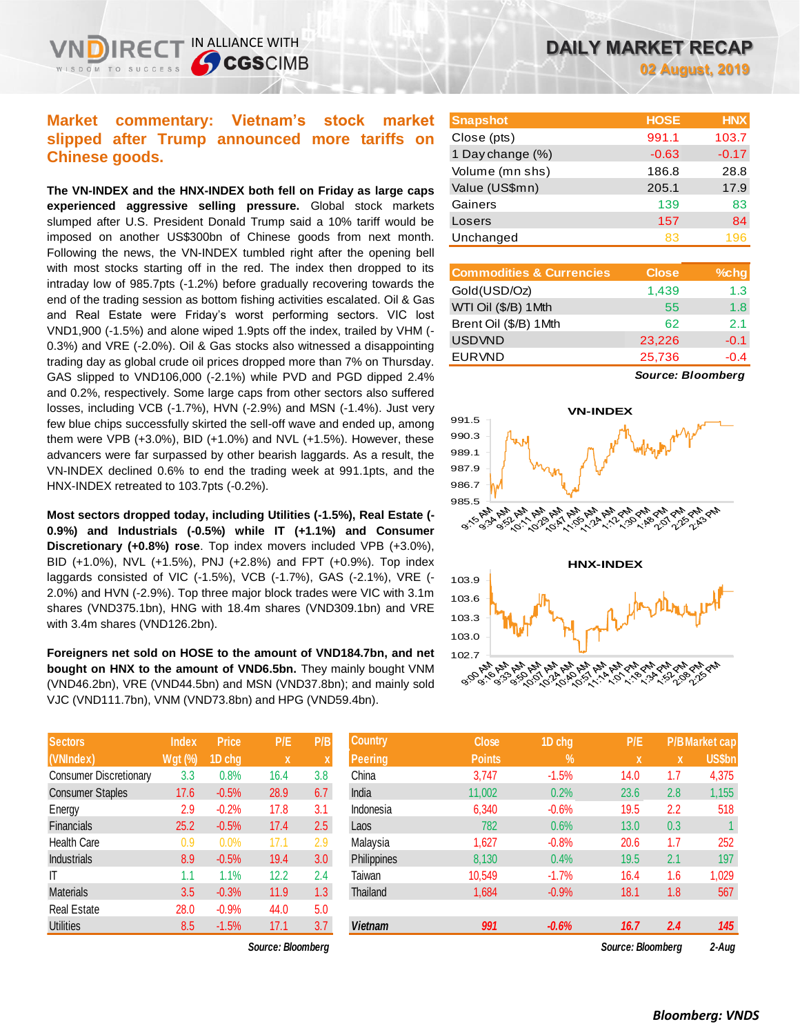**Chinese goods.**

IN ALLIANCE WITH

**CGSCIMB** 

**The VN-INDEX and the HNX-INDEX both fell on Friday as large caps experienced aggressive selling pressure.** Global stock markets slumped after U.S. President Donald Trump said a 10% tariff would be imposed on another US\$300bn of Chinese goods from next month. Following the news, the VN-INDEX tumbled right after the opening bell with most stocks starting off in the red. The index then dropped to its intraday low of 985.7pts (-1.2%) before gradually recovering towards the end of the trading session as bottom fishing activities escalated. Oil & Gas and Real Estate were Friday's worst performing sectors. VIC lost VND1,900 (-1.5%) and alone wiped 1.9pts off the index, trailed by VHM (- 0.3%) and VRE (-2.0%). Oil & Gas stocks also witnessed a disappointing trading day as global crude oil prices dropped more than 7% on Thursday. GAS slipped to VND106,000 (-2.1%) while PVD and PGD dipped 2.4% and 0.2%, respectively. Some large caps from other sectors also suffered losses, including VCB (-1.7%), HVN (-2.9%) and MSN (-1.4%). Just very few blue chips successfully skirted the sell-off wave and ended up, among them were VPB (+3.0%), BID (+1.0%) and NVL (+1.5%). However, these advancers were far surpassed by other bearish laggards. As a result, the VN-INDEX declined 0.6% to end the trading week at 991.1pts, and the HNX-INDEX retreated to 103.7pts (-0.2%).

**Most sectors dropped today, including Utilities (-1.5%), Real Estate (- 0.9%) and Industrials (-0.5%) while IT (+1.1%) and Consumer Discretionary (+0.8%) rose**. Top index movers included VPB (+3.0%), BID (+1.0%), NVL (+1.5%), PNJ (+2.8%) and FPT (+0.9%). Top index laggards consisted of VIC (-1.5%), VCB (-1.7%), GAS (-2.1%), VRE (- 2.0%) and HVN (-2.9%). Top three major block trades were VIC with 3.1m shares (VND375.1bn), HNG with 18.4m shares (VND309.1bn) and VRE with 3.4m shares (VND126.2bn).

**Foreigners net sold on HOSE to the amount of VND184.7bn, and net bought on HNX to the amount of VND6.5bn.** They mainly bought VNM (VND46.2bn), VRE (VND44.5bn) and MSN (VND37.8bn); and mainly sold VJC (VND111.7bn), VNM (VND73.8bn) and HPG (VND59.4bn).

| <b>Sectors</b>                | <b>Index</b>   | <b>Price</b> | P/E  | P/B |
|-------------------------------|----------------|--------------|------|-----|
| (VNIndex)                     | <b>Wgt (%)</b> | 1D chg       | x    | X   |
| <b>Consumer Discretionary</b> | 3.3            | 0.8%         | 16.4 | 3.8 |
| <b>Consumer Staples</b>       | 17.6           | $-0.5%$      | 28.9 | 6.7 |
| Energy                        | 2.9            | $-0.2%$      | 17.8 | 3.1 |
| <b>Financials</b>             | 25.2           | $-0.5%$      | 17.4 | 2.5 |
| <b>Health Care</b>            | 0.9            | 0.0%         | 17.1 | 2.9 |
| <b>Industrials</b>            | 8.9            | $-0.5%$      | 19.4 | 3.0 |
| ıτ                            | 1.1            | 1.1%         | 12.2 | 2.4 |
| <b>Materials</b>              | 3.5            | $-0.3%$      | 11.9 | 1.3 |
| <b>Real Estate</b>            | 28.0           | $-0.9%$      | 44.0 | 5.0 |
| <b>Utilities</b>              | 8.5            | $-1.5%$      | 17.1 | 3.7 |

 $Source: Bloomberg$ 

| <b>Snapshot</b>  | <b>HOSE</b> | <b>HNX</b> |
|------------------|-------------|------------|
| Close (pts)      | 991.1       | 103.7      |
| 1 Day change (%) | $-0.63$     | $-0.17$    |
| Volume (mn shs)  | 186.8       | 28.8       |
| Value (US\$mn)   | 205.1       | 17.9       |
| Gainers          | 139         | 83         |
| Losers           | 157         | 84         |
| Unchanged        | 83          | 196        |

| <b>Commodities &amp; Currencies</b> | <b>Close</b> | $%$ chg |
|-------------------------------------|--------------|---------|
| Gold(USD/Oz)                        | 1,439        | 1.3     |
| WTI Oil (\$/B) 1Mth                 | 55           | 1.8     |
| Brent Oil (\$/B) 1Mth               | 62           | 2.1     |
| <b>USDVND</b>                       | 23,226       | $-0.1$  |
| <b>EURVND</b>                       | 25,736       | $-0.4$  |

*Source: Bloomberg*



| Sectors                 | Index          | <b>Price</b> | P/E               | P/B              | <b>Country</b> | <b>Close</b>  | 1D chg     | P/E               |     | P/B Market cap, |
|-------------------------|----------------|--------------|-------------------|------------------|----------------|---------------|------------|-------------------|-----|-----------------|
| (VNIndex)               | <b>Wgt (%)</b> | 1D chg       | $\mathbf{x}$      | X                | <b>Peering</b> | <b>Points</b> | $\sqrt{2}$ | $\mathbf{x}$      | X   | <b>US\$bn</b>   |
| Consumer Discretionary  | 3.3            | 0.8%         | 16.4              | 3.8              | China          | 3,747         | $-1.5%$    | 14.0              | 1.7 | 4,375           |
| <b>Consumer Staples</b> | 17.6           | $-0.5%$      | 28.9              | 6.7              | India          | 11,002        | 0.2%       | 23.6              | 2.8 | 1,155           |
| Energy                  | 2.9            | $-0.2%$      | 17.8              | 3.1              | Indonesia      | 6,340         | $-0.6%$    | 19.5              | 2.2 | 518             |
| <b>Financials</b>       | 25.2           | $-0.5%$      | 17.4              | 2.5              | Laos           | 782           | 0.6%       | 13.0              | 0.3 |                 |
| Health Care             | 0.9            | 0.0%         | 17.1              | 2.9              | Malaysia       | 1,627         | $-0.8%$    | 20.6              | 1.7 | 252             |
| <b>Industrials</b>      | 8.9            | $-0.5%$      | 19.4              | 3.0 <sub>2</sub> | Philippines    | 8,130         | 0.4%       | 19.5              | 2.1 | 197             |
|                         | 1.1            | 1.1%         | 12.2              | 2.4              | Taiwan         | 10,549        | $-1.7%$    | 16.4              | 1.6 | 1,029           |
| Materials               | 3.5            | $-0.3%$      | 11.9              | 1.3 <sub>2</sub> | Thailand       | 1,684         | $-0.9%$    | 18.1              | 1.8 | 567             |
| Real Estate             | 28.0           | $-0.9%$      | 44.0              | 5.0              |                |               |            |                   |     |                 |
| Utilities               | 8.5            | $-1.5%$      | 17.1              | 3.7              | <b>Vietnam</b> | 991           | $-0.6%$    | 16.7              | 2.4 | 145             |
|                         |                |              | Source: Bloombera |                  |                |               |            | Source: Bloombera |     | 2-Aua           |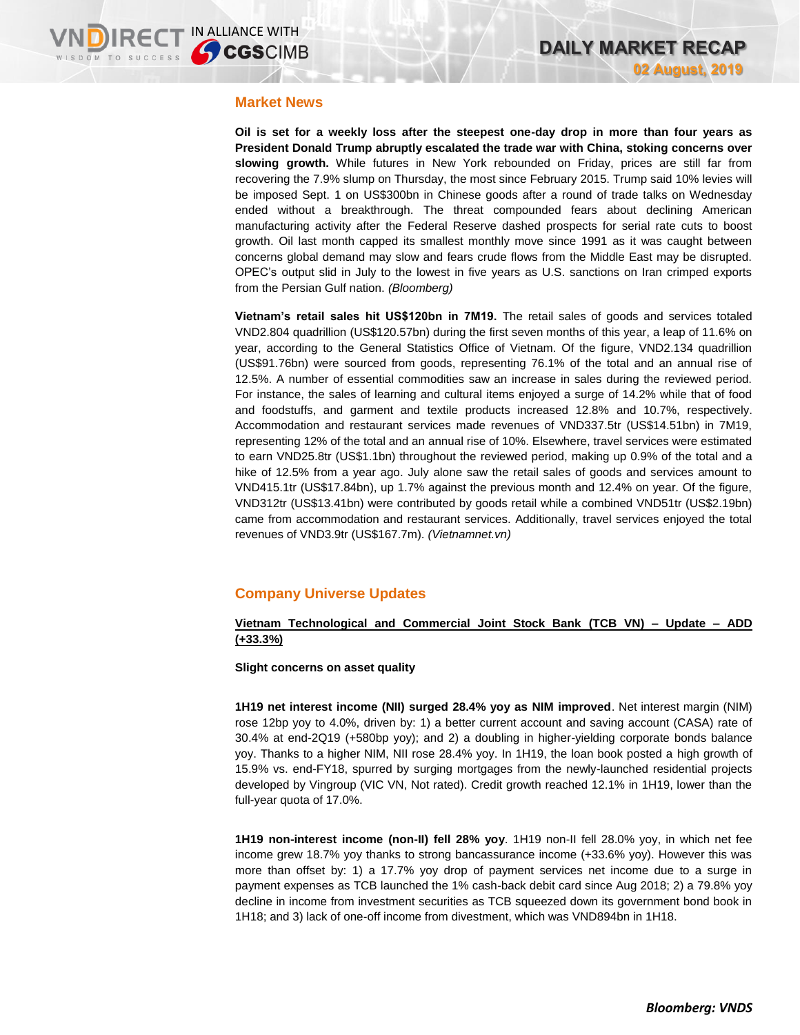#### **Market News**

**Oil is set for a weekly loss after the steepest one-day drop in more than four years as President Donald Trump abruptly escalated the trade war with China, stoking concerns over slowing growth.** While futures in New York rebounded on Friday, prices are still far from recovering the 7.9% slump on Thursday, the most since February 2015. Trump said 10% levies will be imposed Sept. 1 on US\$300bn in Chinese goods after a round of trade talks on Wednesday ended without a breakthrough. The threat compounded fears about declining American manufacturing activity after the Federal Reserve dashed prospects for serial rate cuts to boost growth. Oil last month capped its smallest monthly move since 1991 as it was caught between concerns global demand may slow and fears crude flows from the Middle East may be disrupted. OPEC's output slid in July to the lowest in five years as U.S. sanctions on Iran crimped exports from the Persian Gulf nation. *(Bloomberg)*

**Vietnam's retail sales hit US\$120bn in 7M19.** The retail sales of goods and services totaled VND2.804 quadrillion (US\$120.57bn) during the first seven months of this year, a leap of 11.6% on year, according to the General Statistics Office of Vietnam. Of the figure, VND2.134 quadrillion (US\$91.76bn) were sourced from goods, representing 76.1% of the total and an annual rise of 12.5%. A number of essential commodities saw an increase in sales during the reviewed period. For instance, the sales of learning and cultural items enjoyed a surge of 14.2% while that of food and foodstuffs, and garment and textile products increased 12.8% and 10.7%, respectively. Accommodation and restaurant services made revenues of VND337.5tr (US\$14.51bn) in 7M19, representing 12% of the total and an annual rise of 10%. Elsewhere, travel services were estimated to earn VND25.8tr (US\$1.1bn) throughout the reviewed period, making up 0.9% of the total and a hike of 12.5% from a year ago. July alone saw the retail sales of goods and services amount to VND415.1tr (US\$17.84bn), up 1.7% against the previous month and 12.4% on year. Of the figure, VND312tr (US\$13.41bn) were contributed by goods retail while a combined VND51tr (US\$2.19bn) came from accommodation and restaurant services. Additionally, travel services enjoyed the total revenues of VND3.9tr (US\$167.7m). *(Vietnamnet.vn)*

# **Company Universe Updates**

### **Vietnam Technological and Commercial Joint Stock Bank (TCB VN) – Update – ADD (+33.3%)**

**Slight concerns on asset quality**

**1H19 net interest income (NII) surged 28.4% yoy as NIM improved**. Net interest margin (NIM) rose 12bp yoy to 4.0%, driven by: 1) a better current account and saving account (CASA) rate of 30.4% at end-2Q19 (+580bp yoy); and 2) a doubling in higher-yielding corporate bonds balance yoy. Thanks to a higher NIM, NII rose 28.4% yoy. In 1H19, the loan book posted a high growth of 15.9% vs. end-FY18, spurred by surging mortgages from the newly-launched residential projects developed by Vingroup (VIC VN, Not rated). Credit growth reached 12.1% in 1H19, lower than the full-year quota of 17.0%.

**1H19 non-interest income (non-II) fell 28% yoy**. 1H19 non-II fell 28.0% yoy, in which net fee income grew 18.7% yoy thanks to strong bancassurance income (+33.6% yoy). However this was more than offset by: 1) a 17.7% yoy drop of payment services net income due to a surge in payment expenses as TCB launched the 1% cash-back debit card since Aug 2018; 2) a 79.8% yoy decline in income from investment securities as TCB squeezed down its government bond book in 1H18; and 3) lack of one-off income from divestment, which was VND894bn in 1H18.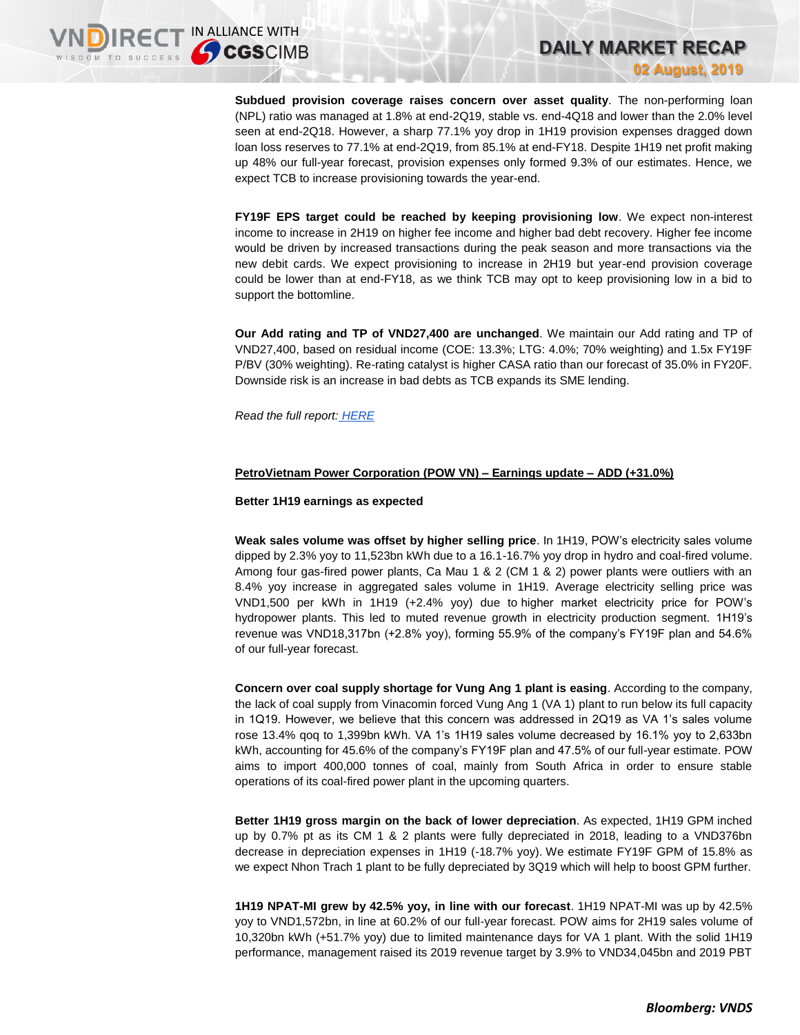**Subdued provision coverage raises concern over asset quality**. The non-performing loan (NPL) ratio was managed at 1.8% at end-2Q19, stable vs. end-4Q18 and lower than the 2.0% level seen at end-2Q18. However, a sharp 77.1% yoy drop in 1H19 provision expenses dragged down loan loss reserves to 77.1% at end-2Q19, from 85.1% at end-FY18. Despite 1H19 net profit making up 48% our full-year forecast, provision expenses only formed 9.3% of our estimates. Hence, we expect TCB to increase provisioning towards the year-end.

**DAILY MARKET RECAP** 

**02 August, 2019**

**FY19F EPS target could be reached by keeping provisioning low**. We expect non-interest income to increase in 2H19 on higher fee income and higher bad debt recovery. Higher fee income would be driven by increased transactions during the peak season and more transactions via the new debit cards. We expect provisioning to increase in 2H19 but year-end provision coverage could be lower than at end-FY18, as we think TCB may opt to keep provisioning low in a bid to support the bottomline.

**Our Add rating and TP of VND27,400 are unchanged**. We maintain our Add rating and TP of VND27,400, based on residual income (COE: 13.3%; LTG: 4.0%; 70% weighting) and 1.5x FY19F P/BV (30% weighting). Re-rating catalyst is higher CASA ratio than our forecast of 35.0% in FY20F. Downside risk is an increase in bad debts as TCB expands its SME lending.

*Read the full report: [HERE](https://nhanha-public-api.vndirect.com.vn/click/OGE0ODlmZDA2ODYwMjZlMjAxNjg5OGJlZTEyNDMxODY=/MWFiZmJkM2Y2YzFhNGJmY2FjYWQ4ODFiZmY3YzE0MDI=/1abfbd3f6c1a4bfcacad881bff7c1402-TCB_Update_20190802.pdf/cmVzZWFyY2hAdm5kaXJlY3QuY29tLnZu/NTk4Mw==)*

#### **PetroVietnam Power Corporation (POW VN) – Earnings update – ADD (+31.0%)**

#### **Better 1H19 earnings as expected**

**Weak sales volume was offset by higher selling price**. In 1H19, POW's electricity sales volume dipped by 2.3% yoy to 11,523bn kWh due to a 16.1-16.7% yoy drop in hydro and coal-fired volume. Among four gas-fired power plants, Ca Mau 1 & 2 (CM 1 & 2) power plants were outliers with an 8.4% yoy increase in aggregated sales volume in 1H19. Average electricity selling price was VND1,500 per kWh in 1H19 (+2.4% yoy) due to higher market electricity price for POW's hydropower plants. This led to muted revenue growth in electricity production segment. 1H19's revenue was VND18,317bn (+2.8% yoy), forming 55.9% of the company's FY19F plan and 54.6% of our full-year forecast.

**Concern over coal supply shortage for Vung Ang 1 plant is easing**. According to the company, the lack of coal supply from Vinacomin forced Vung Ang 1 (VA 1) plant to run below its full capacity in 1Q19. However, we believe that this concern was addressed in 2Q19 as VA 1's sales volume rose 13.4% qoq to 1,399bn kWh. VA 1's 1H19 sales volume decreased by 16.1% yoy to 2,633bn kWh, accounting for 45.6% of the company's FY19F plan and 47.5% of our full-year estimate. POW aims to import 400,000 tonnes of coal, mainly from South Africa in order to ensure stable operations of its coal-fired power plant in the upcoming quarters.

**Better 1H19 gross margin on the back of lower depreciation**. As expected, 1H19 GPM inched up by 0.7% pt as its CM 1 & 2 plants were fully depreciated in 2018, leading to a VND376bn decrease in depreciation expenses in 1H19 (-18.7% yoy). We estimate FY19F GPM of 15.8% as we expect Nhon Trach 1 plant to be fully depreciated by 3Q19 which will help to boost GPM further.

**1H19 NPAT-MI grew by 42.5% yoy, in line with our forecast**. 1H19 NPAT-MI was up by 42.5% yoy to VND1,572bn, in line at 60.2% of our full-year forecast. POW aims for 2H19 sales volume of 10,320bn kWh (+51.7% yoy) due to limited maintenance days for VA 1 plant. With the solid 1H19 performance, management raised its 2019 revenue target by 3.9% to VND34,045bn and 2019 PBT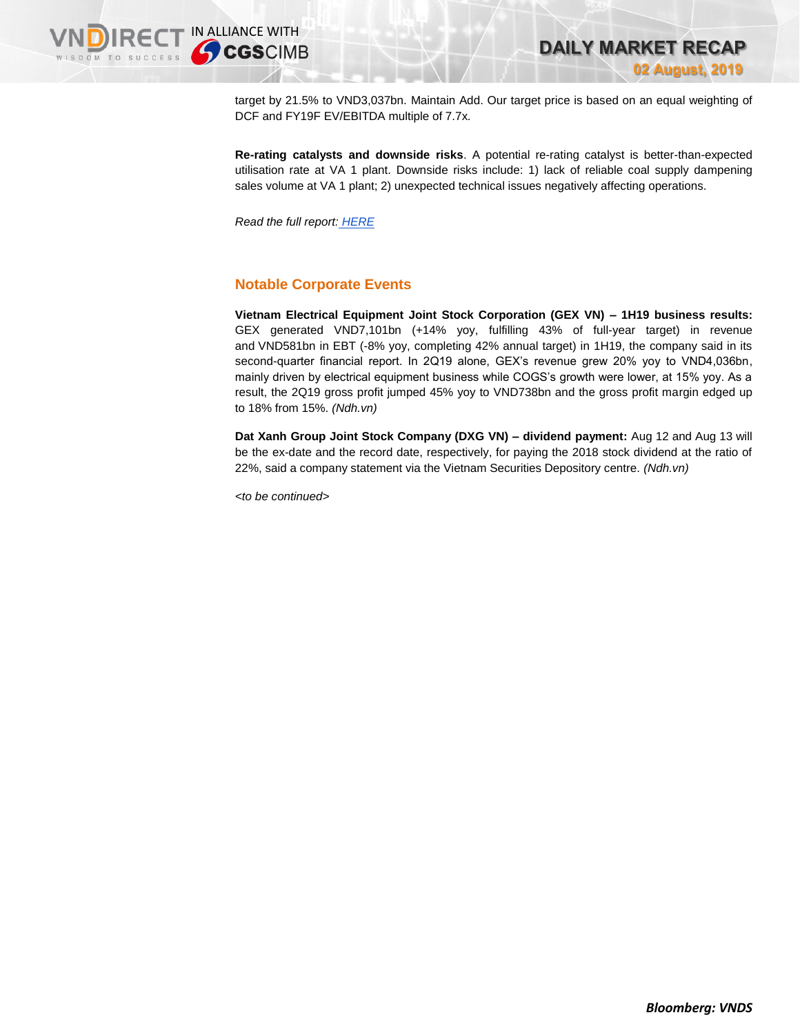target by 21.5% to VND3,037bn. Maintain Add. Our target price is based on an equal weighting of DCF and FY19F EV/EBITDA multiple of 7.7x.

**Re-rating catalysts and downside risks**. A potential re-rating catalyst is better-than-expected utilisation rate at VA 1 plant. Downside risks include: 1) lack of reliable coal supply dampening sales volume at VA 1 plant; 2) unexpected technical issues negatively affecting operations.

*Read the full report: [HERE](https://static-02.vndirect.com.vn/uploads/prod/POW_EarningsFlash_20190801.pdf)*

# **Notable Corporate Events**

**Vietnam Electrical Equipment Joint Stock Corporation (GEX VN) – 1H19 business results:**  GEX generated VND7,101bn (+14% yoy, fulfilling 43% of full-year target) in revenue and VND581bn in EBT (-8% yoy, completing 42% annual target) in 1H19, the company said in its second-quarter financial report. In 2Q19 alone, GEX's revenue grew 20% yoy to VND4,036bn, mainly driven by electrical equipment business while COGS's growth were lower, at 15% yoy. As a result, the 2Q19 gross profit jumped 45% yoy to VND738bn and the gross profit margin edged up to 18% from 15%. *(Ndh.vn)*

**Dat Xanh Group Joint Stock Company (DXG VN) – dividend payment:** Aug 12 and Aug 13 will be the ex-date and the record date, respectively, for paying the 2018 stock dividend at the ratio of 22%, said a company statement via the Vietnam Securities Depository centre. *(Ndh.vn)*

*<to be continued>*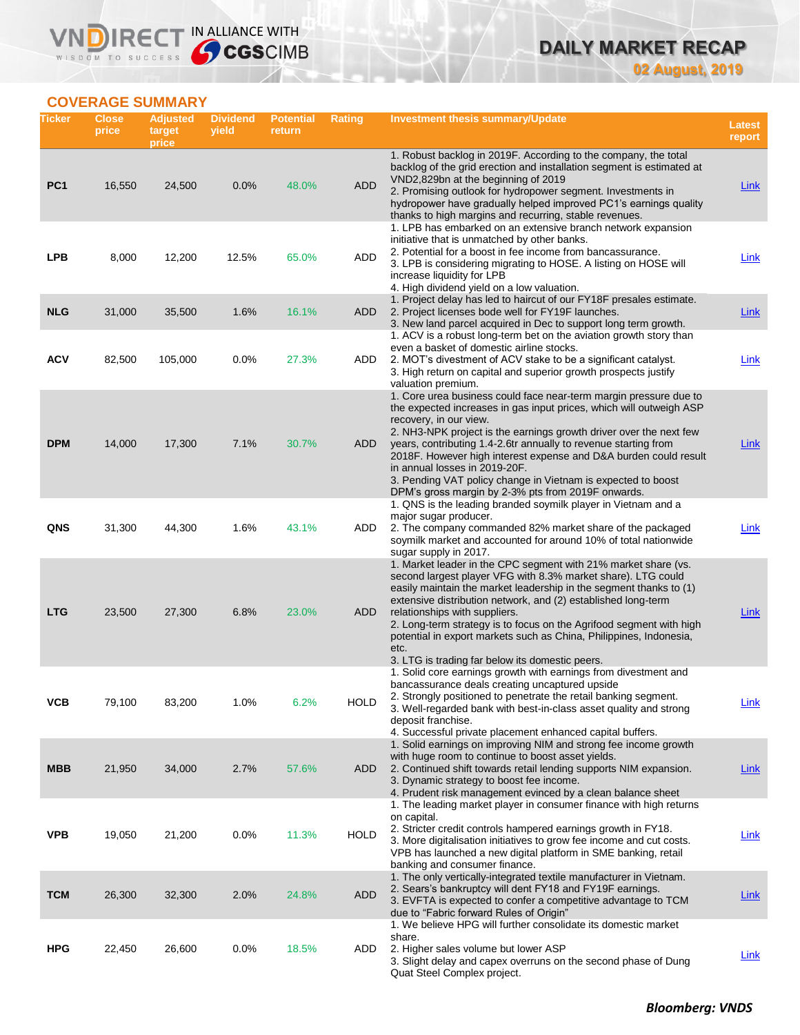# **DAILY MARKET RECAP 02 August, 2019**

# **COVERAGE SUMMARY**

WISDOM TO SUCCESS

VND

IRECT IN ALLIANCE WITH

| Ticker          | <b>Close</b><br>price | <b>Adjusted</b><br>target<br>price | <b>Dividend</b><br>yield | <b>Potential</b><br>return | Rating      | <b>Investment thesis summary/Update</b>                                                                                                                                                                                                                                                                                                                                                                                                                                                                                                                      | <b>Latest</b><br>report |
|-----------------|-----------------------|------------------------------------|--------------------------|----------------------------|-------------|--------------------------------------------------------------------------------------------------------------------------------------------------------------------------------------------------------------------------------------------------------------------------------------------------------------------------------------------------------------------------------------------------------------------------------------------------------------------------------------------------------------------------------------------------------------|-------------------------|
| PC <sub>1</sub> | 16,550                | 24,500                             | 0.0%                     | 48.0%                      | <b>ADD</b>  | 1. Robust backlog in 2019F. According to the company, the total<br>backlog of the grid erection and installation segment is estimated at<br>VND2,829bn at the beginning of 2019<br>2. Promising outlook for hydropower segment. Investments in<br>hydropower have gradually helped improved PC1's earnings quality                                                                                                                                                                                                                                           | <b>Link</b>             |
| <b>LPB</b>      | 8,000                 | 12,200                             | 12.5%                    | 65.0%                      | ADD         | thanks to high margins and recurring, stable revenues.<br>1. LPB has embarked on an extensive branch network expansion<br>initiative that is unmatched by other banks.<br>2. Potential for a boost in fee income from bancassurance.<br>3. LPB is considering migrating to HOSE. A listing on HOSE will<br>increase liquidity for LPB                                                                                                                                                                                                                        | Link                    |
| <b>NLG</b>      | 31,000                | 35,500                             | 1.6%                     | 16.1%                      | ADD         | 4. High dividend yield on a low valuation.<br>1. Project delay has led to haircut of our FY18F presales estimate.<br>2. Project licenses bode well for FY19F launches.<br>3. New land parcel acquired in Dec to support long term growth.                                                                                                                                                                                                                                                                                                                    | <b>Link</b>             |
| ACV             | 82,500                | 105,000                            | 0.0%                     | 27.3%                      | ADD         | 1. ACV is a robust long-term bet on the aviation growth story than<br>even a basket of domestic airline stocks.<br>2. MOT's divestment of ACV stake to be a significant catalyst.<br>3. High return on capital and superior growth prospects justify                                                                                                                                                                                                                                                                                                         | <b>Link</b>             |
| <b>DPM</b>      | 14,000                | 17,300                             | 7.1%                     | 30.7%                      | ADD         | valuation premium.<br>1. Core urea business could face near-term margin pressure due to<br>the expected increases in gas input prices, which will outweigh ASP<br>recovery, in our view.<br>2. NH3-NPK project is the earnings growth driver over the next few<br>years, contributing 1.4-2.6tr annually to revenue starting from<br>2018F. However high interest expense and D&A burden could result<br>in annual losses in 2019-20F.<br>3. Pending VAT policy change in Vietnam is expected to boost<br>DPM's gross margin by 2-3% pts from 2019F onwards. | Link                    |
| QNS             | 31,300                | 44,300                             | 1.6%                     | 43.1%                      | ADD         | 1. QNS is the leading branded soymilk player in Vietnam and a<br>major sugar producer.<br>2. The company commanded 82% market share of the packaged<br>soymilk market and accounted for around 10% of total nationwide<br>sugar supply in 2017.                                                                                                                                                                                                                                                                                                              | Link                    |
| <b>LTG</b>      | 23,500                | 27,300                             | 6.8%                     | 23.0%                      | ADD         | 1. Market leader in the CPC segment with 21% market share (vs.<br>second largest player VFG with 8.3% market share). LTG could<br>easily maintain the market leadership in the segment thanks to (1)<br>extensive distribution network, and (2) established long-term<br>relationships with suppliers.<br>2. Long-term strategy is to focus on the Agrifood segment with high<br>potential in export markets such as China, Philippines, Indonesia,<br>etc.<br>3. LTG is trading far below its domestic peers.                                               | Link                    |
| ۷СВ             | 79,100                | 83,200                             | 1.0%                     | 6.2%                       | <b>HOLD</b> | 1. Solid core earnings growth with earnings from divestment and<br>bancassurance deals creating uncaptured upside<br>2. Strongly positioned to penetrate the retail banking segment.<br>3. Well-regarded bank with best-in-class asset quality and strong<br>deposit franchise.<br>4. Successful private placement enhanced capital buffers.                                                                                                                                                                                                                 | <b>Link</b>             |
| <b>MBB</b>      | 21,950                | 34,000                             | 2.7%                     | 57.6%                      | ADD         | 1. Solid earnings on improving NIM and strong fee income growth<br>with huge room to continue to boost asset yields.<br>2. Continued shift towards retail lending supports NIM expansion.<br>3. Dynamic strategy to boost fee income.<br>4. Prudent risk management evinced by a clean balance sheet                                                                                                                                                                                                                                                         | <u>Link</u>             |
| <b>VPB</b>      | 19,050                | 21,200                             | 0.0%                     | 11.3%                      | <b>HOLD</b> | 1. The leading market player in consumer finance with high returns<br>on capital.<br>2. Stricter credit controls hampered earnings growth in FY18.<br>3. More digitalisation initiatives to grow fee income and cut costs.<br>VPB has launched a new digital platform in SME banking, retail<br>banking and consumer finance.                                                                                                                                                                                                                                | <b>Link</b>             |
| <b>TCM</b>      | 26,300                | 32,300                             | 2.0%                     | 24.8%                      | <b>ADD</b>  | 1. The only vertically-integrated textile manufacturer in Vietnam.<br>2. Sears's bankruptcy will dent FY18 and FY19F earnings.<br>3. EVFTA is expected to confer a competitive advantage to TCM<br>due to "Fabric forward Rules of Origin"                                                                                                                                                                                                                                                                                                                   | <b>Link</b>             |
| <b>HPG</b>      | 22,450                | 26,600                             | 0.0%                     | 18.5%                      | ADD         | 1. We believe HPG will further consolidate its domestic market<br>share.<br>2. Higher sales volume but lower ASP<br>3. Slight delay and capex overruns on the second phase of Dung<br>Quat Steel Complex project.                                                                                                                                                                                                                                                                                                                                            | <b>Link</b>             |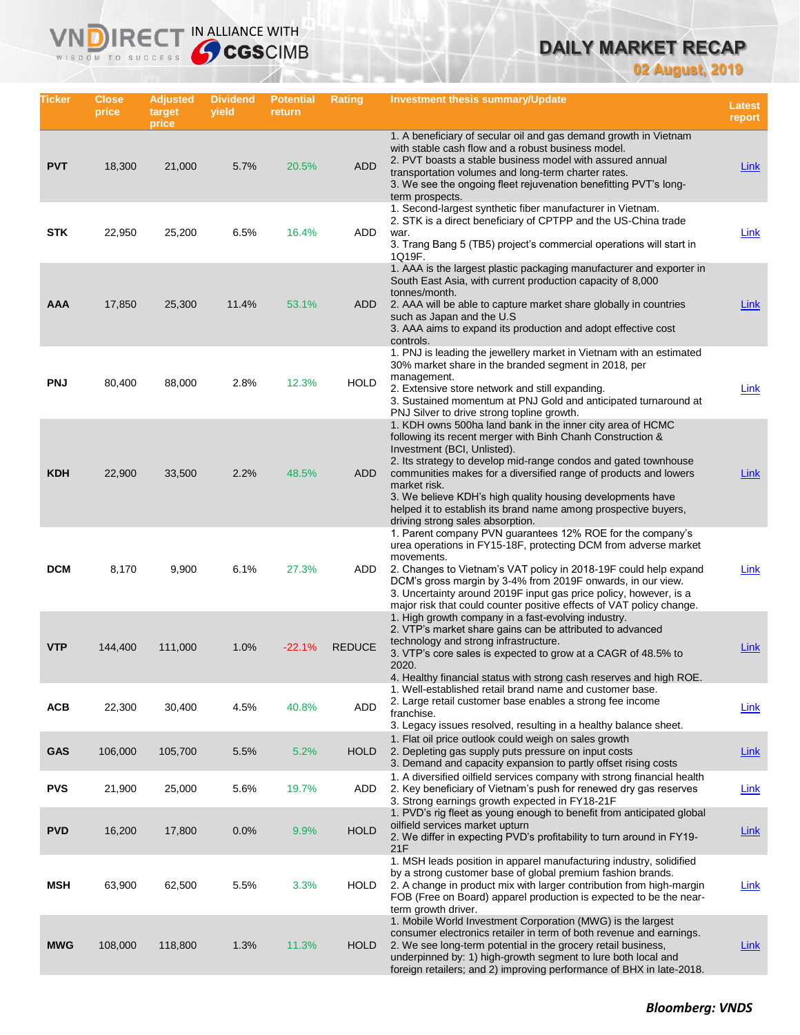# **DAILY MARKET RECAP**

**02 August, 2019**

| Ticker     | Close<br>price | <b>Adjusted</b><br>target<br>price | <b>Dividend</b><br>yield | <b>Potential</b><br>return | <b>Rating</b> | Investment thesis summary/Update                                                                                                                                                                                                                                                                                                                                                                                                                                                    | <b>Latest</b><br>report |
|------------|----------------|------------------------------------|--------------------------|----------------------------|---------------|-------------------------------------------------------------------------------------------------------------------------------------------------------------------------------------------------------------------------------------------------------------------------------------------------------------------------------------------------------------------------------------------------------------------------------------------------------------------------------------|-------------------------|
| <b>PVT</b> | 18,300         | 21,000                             | 5.7%                     | 20.5%                      | <b>ADD</b>    | 1. A beneficiary of secular oil and gas demand growth in Vietnam<br>with stable cash flow and a robust business model.<br>2. PVT boasts a stable business model with assured annual<br>transportation volumes and long-term charter rates.<br>3. We see the ongoing fleet rejuvenation benefitting PVT's long-<br>term prospects.                                                                                                                                                   | <b>Link</b>             |
| <b>STK</b> | 22,950         | 25,200                             | 6.5%                     | 16.4%                      | ADD           | 1. Second-largest synthetic fiber manufacturer in Vietnam.<br>2. STK is a direct beneficiary of CPTPP and the US-China trade<br>war.<br>3. Trang Bang 5 (TB5) project's commercial operations will start in<br>1Q19F.                                                                                                                                                                                                                                                               | Link                    |
| AAA        | 17,850         | 25,300                             | 11.4%                    | 53.1%                      | ADD           | 1. AAA is the largest plastic packaging manufacturer and exporter in<br>South East Asia, with current production capacity of 8,000<br>tonnes/month.<br>2. AAA will be able to capture market share globally in countries<br>such as Japan and the U.S.<br>3. AAA aims to expand its production and adopt effective cost<br>controls.                                                                                                                                                | <b>Link</b>             |
| <b>PNJ</b> | 80,400         | 88,000                             | 2.8%                     | 12.3%                      | <b>HOLD</b>   | 1. PNJ is leading the jewellery market in Vietnam with an estimated<br>30% market share in the branded segment in 2018, per<br>management.<br>2. Extensive store network and still expanding.<br>3. Sustained momentum at PNJ Gold and anticipated turnaround at<br>PNJ Silver to drive strong topline growth.                                                                                                                                                                      | <b>Link</b>             |
| <b>KDH</b> | 22,900         | 33,500                             | 2.2%                     | 48.5%                      | <b>ADD</b>    | 1. KDH owns 500ha land bank in the inner city area of HCMC<br>following its recent merger with Binh Chanh Construction &<br>Investment (BCI, Unlisted).<br>2. Its strategy to develop mid-range condos and gated townhouse<br>communities makes for a diversified range of products and lowers<br>market risk.<br>3. We believe KDH's high quality housing developments have<br>helped it to establish its brand name among prospective buyers,<br>driving strong sales absorption. | Link                    |
| <b>DCM</b> | 8,170          | 9,900                              | 6.1%                     | 27.3%                      | ADD           | 1. Parent company PVN guarantees 12% ROE for the company's<br>urea operations in FY15-18F, protecting DCM from adverse market<br>movements.<br>2. Changes to Vietnam's VAT policy in 2018-19F could help expand<br>DCM's gross margin by 3-4% from 2019F onwards, in our view.<br>3. Uncertainty around 2019F input gas price policy, however, is a<br>major risk that could counter positive effects of VAT policy change.<br>1. High growth company in a fast-evolving industry.  | Link                    |
| <b>VTP</b> | 144,400        | 111,000                            | 1.0%                     | $-22.1%$                   | <b>REDUCE</b> | 2. VTP's market share gains can be attributed to advanced<br>technology and strong infrastructure.<br>3. VTP's core sales is expected to grow at a CAGR of 48.5% to<br>2020.<br>4. Healthy financial status with strong cash reserves and high ROE.                                                                                                                                                                                                                                 | Link                    |
| <b>ACB</b> | 22,300         | 30,400                             | 4.5%                     | 40.8%                      | ADD           | 1. Well-established retail brand name and customer base.<br>2. Large retail customer base enables a strong fee income<br>franchise.<br>3. Legacy issues resolved, resulting in a healthy balance sheet.                                                                                                                                                                                                                                                                             | <b>Link</b>             |
| <b>GAS</b> | 106,000        | 105,700                            | 5.5%                     | 5.2%                       | <b>HOLD</b>   | 1. Flat oil price outlook could weigh on sales growth<br>2. Depleting gas supply puts pressure on input costs<br>3. Demand and capacity expansion to partly offset rising costs                                                                                                                                                                                                                                                                                                     | Link                    |
| <b>PVS</b> | 21,900         | 25,000                             | 5.6%                     | 19.7%                      | ADD           | 1. A diversified oilfield services company with strong financial health<br>2. Key beneficiary of Vietnam's push for renewed dry gas reserves<br>3. Strong earnings growth expected in FY18-21F                                                                                                                                                                                                                                                                                      | Link                    |
| <b>PVD</b> | 16,200         | 17,800                             | 0.0%                     | 9.9%                       | <b>HOLD</b>   | 1. PVD's rig fleet as young enough to benefit from anticipated global<br>oilfield services market upturn<br>2. We differ in expecting PVD's profitability to turn around in FY19-<br>21F                                                                                                                                                                                                                                                                                            | <b>Link</b>             |
| MSH        | 63,900         | 62,500                             | 5.5%                     | 3.3%                       | <b>HOLD</b>   | 1. MSH leads position in apparel manufacturing industry, solidified<br>by a strong customer base of global premium fashion brands.<br>2. A change in product mix with larger contribution from high-margin<br>FOB (Free on Board) apparel production is expected to be the near-<br>term growth driver.                                                                                                                                                                             | <b>Link</b>             |
| <b>MWG</b> | 108,000        | 118,800                            | 1.3%                     | 11.3%                      | <b>HOLD</b>   | 1. Mobile World Investment Corporation (MWG) is the largest<br>consumer electronics retailer in term of both revenue and earnings.<br>2. We see long-term potential in the grocery retail business,<br>underpinned by: 1) high-growth segment to lure both local and<br>foreign retailers; and 2) improving performance of BHX in late-2018.                                                                                                                                        | <u>Link</u>             |

IN ALLIANCE WITH

VND

R<sub>E</sub>

WISDOM TO SUCCESS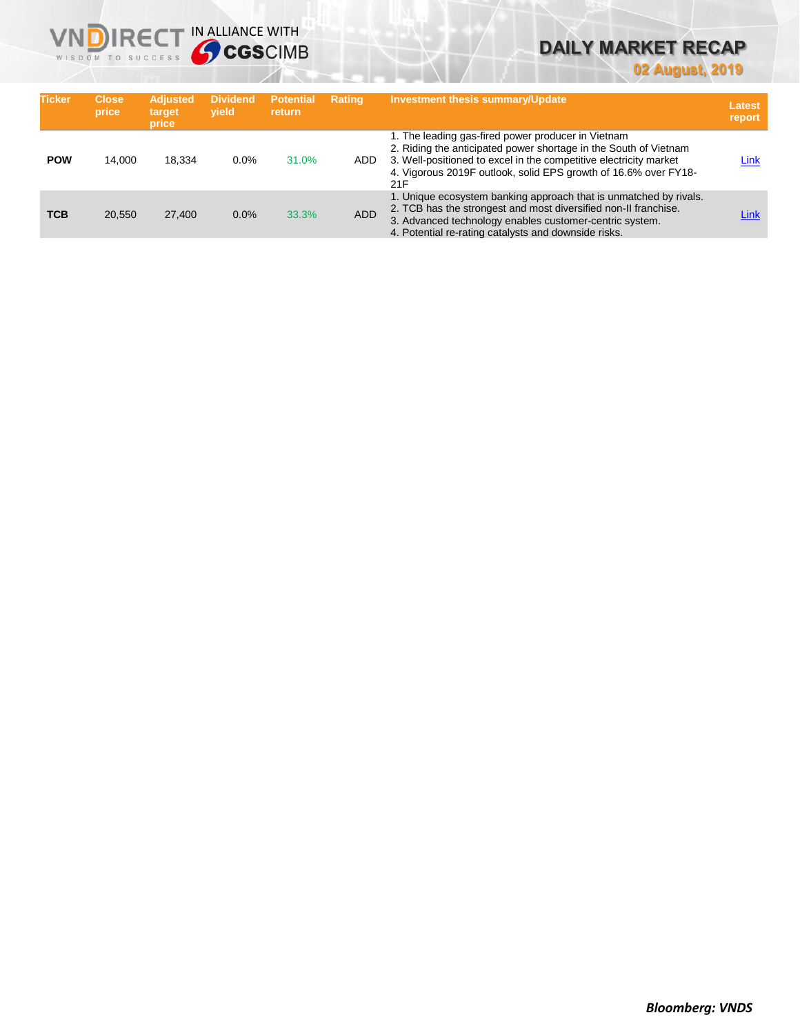# **VNDIRECT IN ALLIANCE WITH**

# **DAILY MARKET RECAP**

**02 August, 2019**

| <b>Ticker</b> | <b>Close</b><br>price | <b>Adjusted</b><br>target<br>price | <b>Dividend</b><br>vield | <b>Potential</b><br><b>return</b> | <b>Rating</b> | <b>Investment thesis summary/Update</b>                                                                                                                                                                                                                               | Latest<br>report |
|---------------|-----------------------|------------------------------------|--------------------------|-----------------------------------|---------------|-----------------------------------------------------------------------------------------------------------------------------------------------------------------------------------------------------------------------------------------------------------------------|------------------|
| <b>POW</b>    | 14.000                | 18.334                             | $0.0\%$                  | 31.0%                             | ADD.          | 1. The leading gas-fired power producer in Vietnam<br>2. Riding the anticipated power shortage in the South of Vietnam<br>3. Well-positioned to excel in the competitive electricity market<br>4. Vigorous 2019F outlook, solid EPS growth of 16.6% over FY18-<br>21F | Link             |
| <b>TCB</b>    | 20,550                | 27,400                             | 0.0%                     | 33.3%                             | <b>ADD</b>    | 1. Unique ecosystem banking approach that is unmatched by rivals.<br>2. TCB has the strongest and most diversified non-II franchise.<br>3. Advanced technology enables customer-centric system.<br>4. Potential re-rating catalysts and downside risks.               | Link             |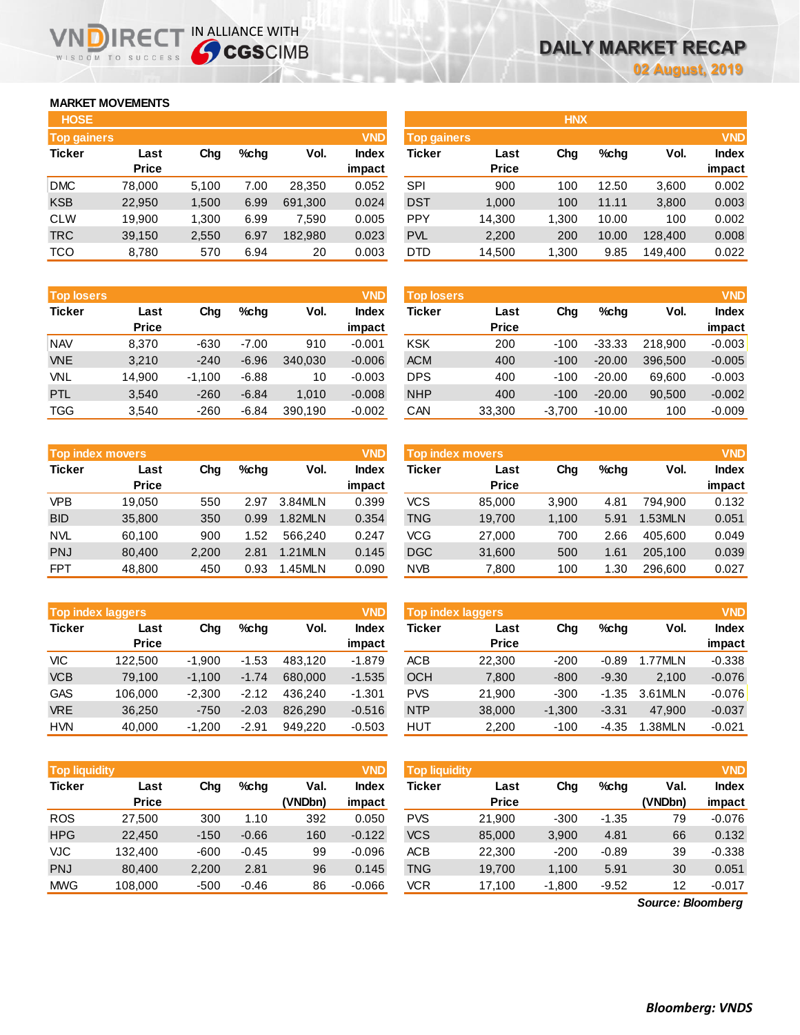## **MARKET MOVEMENTS**

WISDOM TO SUCCESS

| <b>HOSE</b>        |              |       |      |         |              |
|--------------------|--------------|-------|------|---------|--------------|
| <b>Top gainers</b> |              |       |      |         | <b>VND</b>   |
| <b>Ticker</b>      | Last         | Cha   | %chq | Vol.    | <b>Index</b> |
|                    | <b>Price</b> |       |      |         | impact       |
| <b>DMC</b>         | 78,000       | 5,100 | 7.00 | 28,350  | 0.052        |
| <b>KSB</b>         | 22,950       | 1,500 | 6.99 | 691,300 | 0.024        |
| <b>CLW</b>         | 19,900       | 1,300 | 6.99 | 7,590   | 0.005        |
| <b>TRC</b>         | 39,150       | 2,550 | 6.97 | 182,980 | 0.023        |
| <b>TCO</b>         | 8,780        | 570   | 6.94 | 20      | 0.003        |

**VNDIRECT IN ALLIANCE WITH** 

| <b>Top losers</b> |              |          |         |         | <b>VND</b>   |
|-------------------|--------------|----------|---------|---------|--------------|
| <b>Ticker</b>     | Last         | Cha      | %chq    | Vol.    | <b>Index</b> |
|                   | <b>Price</b> |          |         |         | impact       |
| <b>NAV</b>        | 8.370        | -630     | $-7.00$ | 910     | $-0.001$     |
| <b>VNE</b>        | 3,210        | $-240$   | $-6.96$ | 340,030 | $-0.006$     |
| VNL               | 14.900       | $-1,100$ | $-6.88$ | 10      | $-0.003$     |
| PTL               | 3,540        | $-260$   | $-6.84$ | 1,010   | $-0.008$     |
| <b>TGG</b>        | 3,540        | $-260$   | $-6.84$ | 390,190 | $-0.002$     |

|               | <b>Top index movers</b> |       |      |         | <b>VND</b>   |
|---------------|-------------------------|-------|------|---------|--------------|
| <b>Ticker</b> | Last                    | Cha   | %chq | Vol.    | <b>Index</b> |
|               | <b>Price</b>            |       |      |         | impact       |
| <b>VPB</b>    | 19,050                  | 550   | 2.97 | 3.84MLN | 0.399        |
| <b>BID</b>    | 35,800                  | 350   | 0.99 | 1.82MLN | 0.354        |
| <b>NVL</b>    | 60,100                  | 900   | 1.52 | 566.240 | 0.247        |
| <b>PNJ</b>    | 80,400                  | 2,200 | 2.81 | 1.21MLN | 0.145        |
| <b>FPT</b>    | 48,800                  | 450   | 0.93 | 1.45MLN | 0.090        |

|               | <b>VND</b><br><b>Top index laggers</b> |          |         |                      |          |  |  |  |  |  |  |
|---------------|----------------------------------------|----------|---------|----------------------|----------|--|--|--|--|--|--|
| <b>Ticker</b> | Last                                   | Cha      | $%$ chq | Vol.<br><b>Index</b> |          |  |  |  |  |  |  |
|               | <b>Price</b>                           |          |         |                      | impact   |  |  |  |  |  |  |
| <b>VIC</b>    | 122,500                                | $-1,900$ | $-1.53$ | 483,120              | $-1.879$ |  |  |  |  |  |  |
| <b>VCB</b>    | 79,100                                 | $-1,100$ | $-1.74$ | 680,000              | $-1.535$ |  |  |  |  |  |  |
| <b>GAS</b>    | 106,000                                | $-2,300$ | $-2.12$ | 436.240              | $-1.301$ |  |  |  |  |  |  |
| <b>VRE</b>    | 36,250                                 | $-750$   | $-2.03$ | 826,290              | $-0.516$ |  |  |  |  |  |  |
| <b>HVN</b>    | 40,000                                 | $-1,200$ | $-2.91$ | 949.220              | $-0.503$ |  |  |  |  |  |  |

| <b>Top liquidity</b> |                      |        |         |                 | <b>VND</b>      | <b>Top liquidity</b> |                      |          |         |                 | <b>VND</b>             |
|----------------------|----------------------|--------|---------|-----------------|-----------------|----------------------|----------------------|----------|---------|-----------------|------------------------|
| <b>Ticker</b>        | Last<br><b>Price</b> | Chg    | %chq    | Val.<br>(VNDbn) | Index<br>impact | <b>Ticker</b>        | Last<br><b>Price</b> | Chg      | %chg    | Val.<br>(VNDbn) | <b>Index</b><br>impact |
| <b>ROS</b>           | 27.500               | 300    | 1.10    | 392             | 0.050           | <b>PVS</b>           | 21,900               | $-300$   | $-1.35$ | 79              | $-0.076$               |
| <b>HPG</b>           | 22,450               | $-150$ | $-0.66$ | 160             | $-0.122$        | <b>VCS</b>           | 85,000               | 3,900    | 4.81    | 66              | 0.132                  |
| VJC                  | 132.400              | $-600$ | $-0.45$ | 99              | $-0.096$        | <b>ACB</b>           | 22,300               | $-200$   | $-0.89$ | 39              | $-0.338$               |
| <b>PNJ</b>           | 80,400               | 2,200  | 2.81    | 96              | 0.145           | <b>TNG</b>           | 19,700               | 1,100    | 5.91    | 30              | 0.051                  |
| <b>MWG</b>           | 108,000              | $-500$ | $-0.46$ | 86              | $-0.066$        | <b>VCR</b>           | 17,100               | $-1,800$ | $-9.52$ | 12              | $-0.017$               |
|                      | Source: Bloomberg    |        |         |                 |                 |                      |                      |          |         |                 |                        |

*Source: Bloomberg*

| <b>HOSE</b>        |              |       |      |         |              |                    |              | <b>HNX</b> |         |         |              |
|--------------------|--------------|-------|------|---------|--------------|--------------------|--------------|------------|---------|---------|--------------|
| <b>Top gainers</b> |              |       |      |         | <b>VND</b>   | <b>Top gainers</b> |              |            |         |         | <b>VND</b>   |
| Ticker             | Last         | Chg   | %chg | Vol.    | <b>Index</b> | Ticker             | Last         | Chg        | $%$ chg | Vol.    | <b>Index</b> |
|                    | <b>Price</b> |       |      |         | impact       |                    | <b>Price</b> |            |         |         | impact       |
| <b>DMC</b>         | 78,000       | 5.100 | 7.00 | 28,350  | 0.052        | <b>SPI</b>         | 900          | 100        | 12.50   | 3,600   | 0.002        |
| <b>KSB</b>         | 22,950       | 1,500 | 6.99 | 691,300 | 0.024        | <b>DST</b>         | 1,000        | 100        | 11.11   | 3,800   | 0.003        |
| CLW                | 19,900       | 1,300 | 6.99 | 7,590   | 0.005        | <b>PPY</b>         | 14,300       | 1.300      | 10.00   | 100     | 0.002        |
| <b>TRC</b>         | 39,150       | 2,550 | 6.97 | 182,980 | 0.023        | <b>PVL</b>         | 2,200        | 200        | 10.00   | 128,400 | 0.008        |
| TCO                | 8,780        | 570   | 6.94 | 20      | 0.003        | <b>DTD</b>         | 14,500       | 1,300      | 9.85    | 149,400 | 0.022        |
|                    |              |       |      |         |              |                    |              |            |         |         |              |

| <b>Top losers</b> |              |          |         |         | <b>VND</b>   | Top losers |              |          |          |         | <b>VND</b>   |
|-------------------|--------------|----------|---------|---------|--------------|------------|--------------|----------|----------|---------|--------------|
| <b>Ticker</b>     | Last         | Chg      | %chq    | Vol.    | <b>Index</b> | Ticker     | Last         | Chg      | $%$ chq  | Vol.    | <b>Index</b> |
|                   | <b>Price</b> |          |         |         | impact       |            | <b>Price</b> |          |          |         | impact       |
| <b>NAV</b>        | 8.370        | $-630$   | $-7.00$ | 910     | $-0.001$     | <b>KSK</b> | 200          | $-100$   | $-33.33$ | 218.900 | $-0.003$     |
| <b>VNE</b>        | 3,210        | $-240$   | $-6.96$ | 340.030 | $-0.006$     | <b>ACM</b> | 400          | $-100$   | $-20.00$ | 396.500 | $-0.005$     |
| VNL               | 14,900       | $-1.100$ | $-6.88$ | 10      | $-0.003$     | <b>DPS</b> | 400          | $-100$   | $-20.00$ | 69.600  | $-0.003$     |
| <b>PTL</b>        | 3,540        | $-260$   | $-6.84$ | 1.010   | $-0.008$     | <b>NHP</b> | 400          | $-100$   | $-20.00$ | 90,500  | $-0.002$     |
| TGG               | 3,540        | $-260$   | $-6.84$ | 390,190 | $-0.002$     | CAN        | 33,300       | $-3,700$ | $-10.00$ | 100     | $-0.009$     |
|                   |              |          |         |         |              |            |              |          |          |         |              |

| <b>Top index movers</b> |                     |      |         | <b>VND</b> | Top index movers |        |              |      |               |        |
|-------------------------|---------------------|------|---------|------------|------------------|--------|--------------|------|---------------|--------|
| Last                    | Vol.<br>%chq<br>Chg |      | Index   | Ticker     | Last             | Chg    | $%$ chq      | Vol. | <b>Index</b>  |        |
|                         |                     |      |         |            |                  |        |              |      |               | impact |
| 19.050                  | 550                 | 2.97 | 3.84MLN | 0.399      | vcs              | 85,000 | 3,900        | 4.81 | 794.900       | 0.132  |
| 35,800                  | 350                 | 0.99 | 1.82MLN | 0.354      | <b>TNG</b>       | 19,700 | 1,100        | 5.91 | <b>.53MLN</b> | 0.051  |
| 60.100                  | 900                 | 1.52 | 566.240 | 0.247      | VCG              | 27,000 | 700          | 2.66 | 405.600       | 0.049  |
| 80.400                  | 2.200               | 2.81 | 1.21MLN | 0.145      | <b>DGC</b>       | 31,600 | 500          | 1.61 | 205.100       | 0.039  |
| 48,800                  | 450                 | 0.93 | 1.45MLN | 0.090      | <b>NVB</b>       | 7,800  | 100          | .30  | 296,600       | 0.027  |
|                         | <b>Price</b>        |      |         |            | impact           |        | <b>Price</b> |      |               |        |

|            | <b>Top index laggers</b> |          |         |         | <b>VND</b>      | <b>Top index laggers</b> |                      |          |         |         |                        |  |
|------------|--------------------------|----------|---------|---------|-----------------|--------------------------|----------------------|----------|---------|---------|------------------------|--|
| Ticker     | Last<br><b>Price</b>     | Chg      | $%$ chq | Vol.    | Index<br>impact | Ticker                   | Last<br><b>Price</b> | Chg      | $%$ chq | Vol.    | <b>Index</b><br>impact |  |
| VIC        | 122.500                  | $-1.900$ | $-1.53$ | 483.120 | $-1.879$        | ACB                      | 22,300               | $-200$   | $-0.89$ | 1.77MLN | $-0.338$               |  |
| <b>VCB</b> | 79.100                   | $-1.100$ | $-1.74$ | 680,000 | $-1.535$        | <b>OCH</b>               | 7,800                | $-800$   | $-9.30$ | 2.100   | $-0.076$               |  |
| GAS        | 106.000                  | $-2.300$ | $-2.12$ | 436.240 | $-1.301$        | <b>PVS</b>               | 21.900               | $-300$   | $-1.35$ | 3.61MLN | $-0.076$               |  |
| <b>VRE</b> | 36.250                   | $-750$   | $-2.03$ | 826,290 | $-0.516$        | <b>NTP</b>               | 38,000               | $-1.300$ | $-3.31$ | 47.900  | $-0.037$               |  |
| <b>HVN</b> | 40.000                   | $-1.200$ | $-2.91$ | 949.220 | $-0.503$        | HUT                      | 2.200                | $-100$   | $-4.35$ | 1.38MLN | $-0.021$               |  |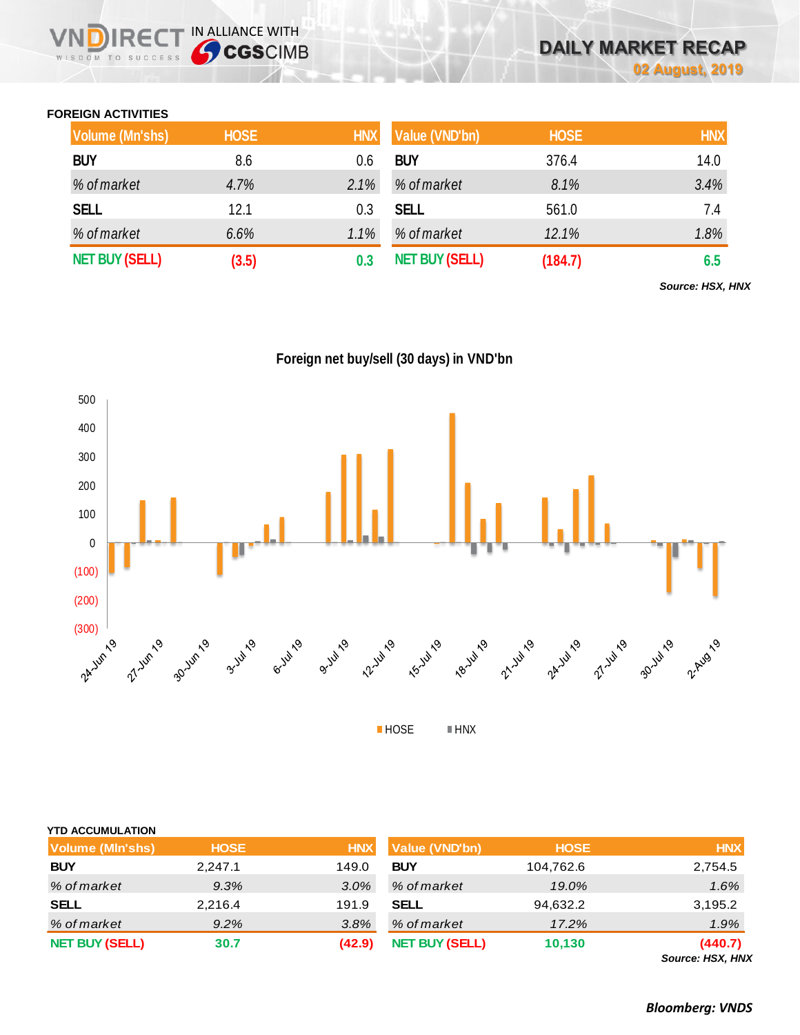## **FOREIGN ACTIVITIES**

WISDOM TO SUCCESS

**IRECT IN ALLIANCE WITH** 

| Volume (Mn'shs)       | <b>HOSE</b> | <b>HNX</b> | Value (VND'bn)        | <b>HOSE</b> | <b>HNX</b> |
|-----------------------|-------------|------------|-----------------------|-------------|------------|
| <b>BUY</b>            | 8.6         | 0.6        | <b>BUY</b>            | 376.4       | 14.0       |
| % of market           | 4.7%        | 2.1%       | % of market           | 8.1%        | 3.4%       |
| <b>SELL</b>           | 12.1        | 0.3        | <b>SELL</b>           | 561.0       | 7.4        |
| % of market           | 6.6%        | 1.1%       | % of market           | 12.1%       | 1.8%       |
| <b>NET BUY (SELL)</b> | (3.5)       | 0.3        | <b>NET BUY (SELL)</b> | (184.7)     | 6.5        |

*Source: HSX, HNX*

**Foreign net buy/sell (30 days) in VND'bn**



| <b>YTD ACCUMULATION</b> |             |            |                       |             |                          |
|-------------------------|-------------|------------|-----------------------|-------------|--------------------------|
| <b>Volume (MIn'shs)</b> | <b>HOSE</b> | <b>HNX</b> | Value (VND'bn)        | <b>HOSE</b> | <b>HNX</b>               |
| <b>BUY</b>              | 2,247.1     | 149.0      | <b>BUY</b>            | 104,762.6   | 2,754.5                  |
| % of market             | 9.3%        | 3.0%       | % of market           | 19.0%       | 1.6%                     |
| <b>SELL</b>             | 2,216.4     | 191.9      | <b>SELL</b>           | 94,632.2    | 3,195.2                  |
| % of market             | 9.2%        | 3.8%       | % of market           | 17.2%       | 1.9%                     |
| <b>NET BUY (SELL)</b>   | 30.7        | (42.9)     | <b>NET BUY (SELL)</b> | 10,130      | (440.7)<br>Course HCV HM |

*Source: HSX, HNX*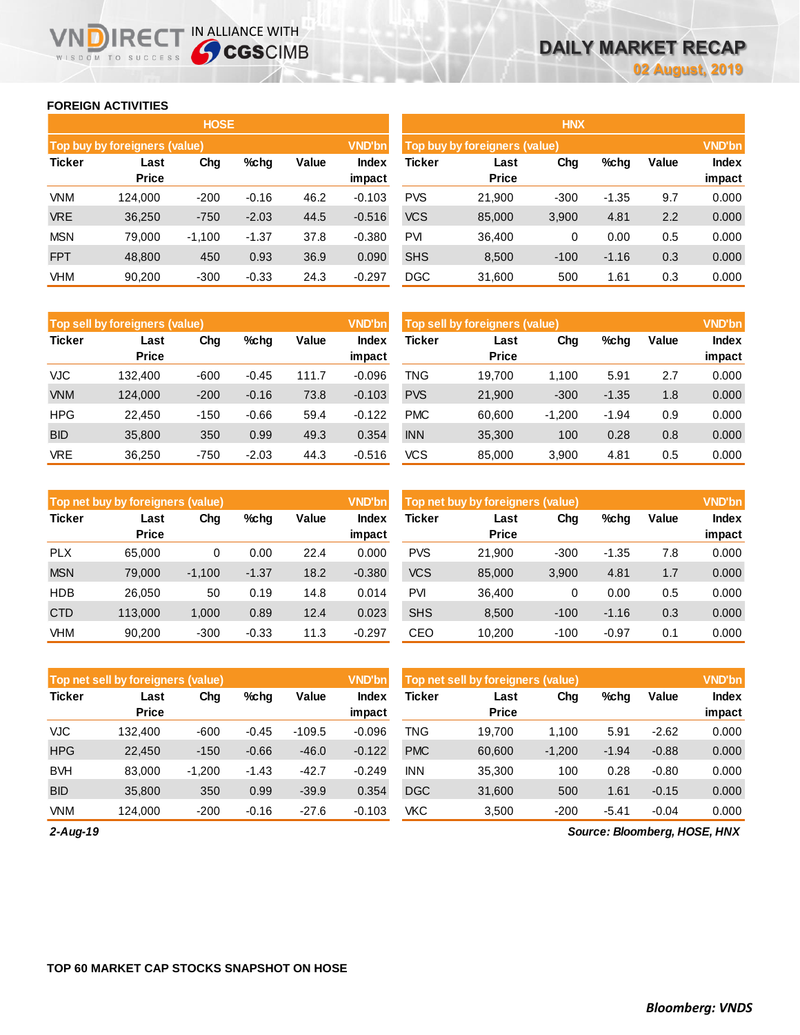### **FOREIGN ACTIVITIES**

WISDOM TO SUCCESS

NDIRECT IN ALLIANCE WITH

|               |                                                 | <b>HOSE</b> |         |      |                 | <b>HNX</b>    |                               |                        |         |     |               |  |
|---------------|-------------------------------------------------|-------------|---------|------|-----------------|---------------|-------------------------------|------------------------|---------|-----|---------------|--|
|               | Top buy by foreigners (value)                   |             |         |      | <b>VND'bn</b>   |               | Top buy by foreigners (value) |                        |         |     | <b>VND'bn</b> |  |
| <b>Ticker</b> | Value<br>Chg<br>$%$ chg<br>Last<br><b>Price</b> |             |         |      | Index<br>impact | <b>Ticker</b> | Value                         | <b>Index</b><br>impact |         |     |               |  |
| <b>VNM</b>    | 124.000                                         | $-200$      | $-0.16$ | 46.2 | $-0.103$        | <b>PVS</b>    | 21,900                        | $-300$                 | $-1.35$ | 9.7 | 0.000         |  |
| <b>VRE</b>    | 36,250                                          | $-750$      | $-2.03$ | 44.5 | $-0.516$        | <b>VCS</b>    | 85,000                        | 3,900                  | 4.81    | 2.2 | 0.000         |  |
| <b>MSN</b>    | 79.000                                          | $-1,100$    | $-1.37$ | 37.8 | $-0.380$        | <b>PVI</b>    | 36,400                        | 0                      | 0.00    | 0.5 | 0.000         |  |
| <b>FPT</b>    | 48,800                                          | 450         | 0.93    | 36.9 | 0.090           | <b>SHS</b>    | 8,500                         | $-100$                 | $-1.16$ | 0.3 | 0.000         |  |
| <b>VHM</b>    | 90,200                                          | $-300$      | $-0.33$ | 24.3 | $-0.297$        | <b>DGC</b>    | 31,600                        | 500                    | 1.61    | 0.3 | 0.000         |  |

|               | Top sell by foreigners (value) |        |         |       | <b>VND'bn</b>   | Top sell by foreigners (value) |                      |          |         |       |                 |
|---------------|--------------------------------|--------|---------|-------|-----------------|--------------------------------|----------------------|----------|---------|-------|-----------------|
| <b>Ticker</b> | Last<br><b>Price</b>           | Chg    | $%$ chg | Value | Index<br>impact | Ticker                         | Last<br><b>Price</b> | Chg      | %chg    | Value | Index<br>impact |
| VJC           | 132.400                        | $-600$ | $-0.45$ | 111.7 | $-0.096$        | TNG                            | 19.700               | 1.100    | 5.91    | 2.7   | 0.000           |
| <b>VNM</b>    | 124.000                        | $-200$ | $-0.16$ | 73.8  | $-0.103$        | <b>PVS</b>                     | 21,900               | $-300$   | $-1.35$ | 1.8   | 0.000           |
| <b>HPG</b>    | 22.450                         | $-150$ | $-0.66$ | 59.4  | $-0.122$        | <b>PMC</b>                     | 60.600               | $-1.200$ | $-1.94$ | 0.9   | 0.000           |
| <b>BID</b>    | 35,800                         | 350    | 0.99    | 49.3  | 0.354           | <b>INN</b>                     | 35,300               | 100      | 0.28    | 0.8   | 0.000           |
| <b>VRE</b>    | 36,250                         | $-750$ | $-2.03$ | 44.3  | $-0.516$        | VCS                            | 85,000               | 3,900    | 4.81    | 0.5   | 0.000           |

|               | Top net buy by foreigners (value) |          |         |       | <b>VND'bn</b>   | Top net buy by foreigners (value) |                      | <b>VND'bn</b> |         |       |                        |
|---------------|-----------------------------------|----------|---------|-------|-----------------|-----------------------------------|----------------------|---------------|---------|-------|------------------------|
| <b>Ticker</b> | Last<br><b>Price</b>              | Chg      | $%$ chg | Value | Index<br>impact | Ticker                            | Last<br><b>Price</b> | Chg           | %chg    | Value | <b>Index</b><br>impact |
| <b>PLX</b>    | 65.000                            | 0        | 0.00    | 22.4  | 0.000           | <b>PVS</b>                        | 21.900               | $-300$        | $-1.35$ | 7.8   | 0.000                  |
| <b>MSN</b>    | 79,000                            | $-1.100$ | $-1.37$ | 18.2  | $-0.380$        | <b>VCS</b>                        | 85,000               | 3,900         | 4.81    | 1.7   | 0.000                  |
| <b>HDB</b>    | 26,050                            | 50       | 0.19    | 14.8  | 0.014           | <b>PVI</b>                        | 36,400               | 0             | 0.00    | 0.5   | 0.000                  |
| <b>CTD</b>    | 113,000                           | 1,000    | 0.89    | 12.4  | 0.023           | <b>SHS</b>                        | 8,500                | $-100$        | $-1.16$ | 0.3   | 0.000                  |
| <b>VHM</b>    | 90.200                            | $-300$   | $-0.33$ | 11.3  | $-0.297$        | CEO                               | 10.200               | $-100$        | $-0.97$ | 0.1   | 0.000                  |

|               | Top net sell by foreigners (value), |          |         |          | <b>VND'bn</b>   | Top net sell by foreigners (value) |                      |          |         |         |                 |
|---------------|-------------------------------------|----------|---------|----------|-----------------|------------------------------------|----------------------|----------|---------|---------|-----------------|
| <b>Ticker</b> | Last<br><b>Price</b>                | Chg      | $%$ chg | Value    | Index<br>impact | Ticker                             | Last<br><b>Price</b> | Chg      | %chg    | Value   | Index<br>impact |
| <b>VJC</b>    | 132.400                             | $-600$   | $-0.45$ | $-109.5$ | $-0.096$        | TNG                                | 19.700               | 1.100    | 5.91    | $-2.62$ | 0.000           |
| <b>HPG</b>    | 22,450                              | $-150$   | $-0.66$ | $-46.0$  | $-0.122$        | <b>PMC</b>                         | 60,600               | $-1,200$ | $-1.94$ | $-0.88$ | 0.000           |
| <b>BVH</b>    | 83,000                              | $-1.200$ | $-1.43$ | $-42.7$  | $-0.249$        | <b>INN</b>                         | 35,300               | 100      | 0.28    | $-0.80$ | 0.000           |
| <b>BID</b>    | 35,800                              | 350      | 0.99    | $-39.9$  | 0.354           | <b>DGC</b>                         | 31,600               | 500      | 1.61    | $-0.15$ | 0.000           |
| <b>VNM</b>    | 124.000                             | $-200$   | $-0.16$ | $-27.6$  | $-0.103$        | <b>VKC</b>                         | 3.500                | $-200$   | $-5.41$ | $-0.04$ | 0.000           |

*2-Aug-19*

*Source: Bloomberg, HOSE, HNX*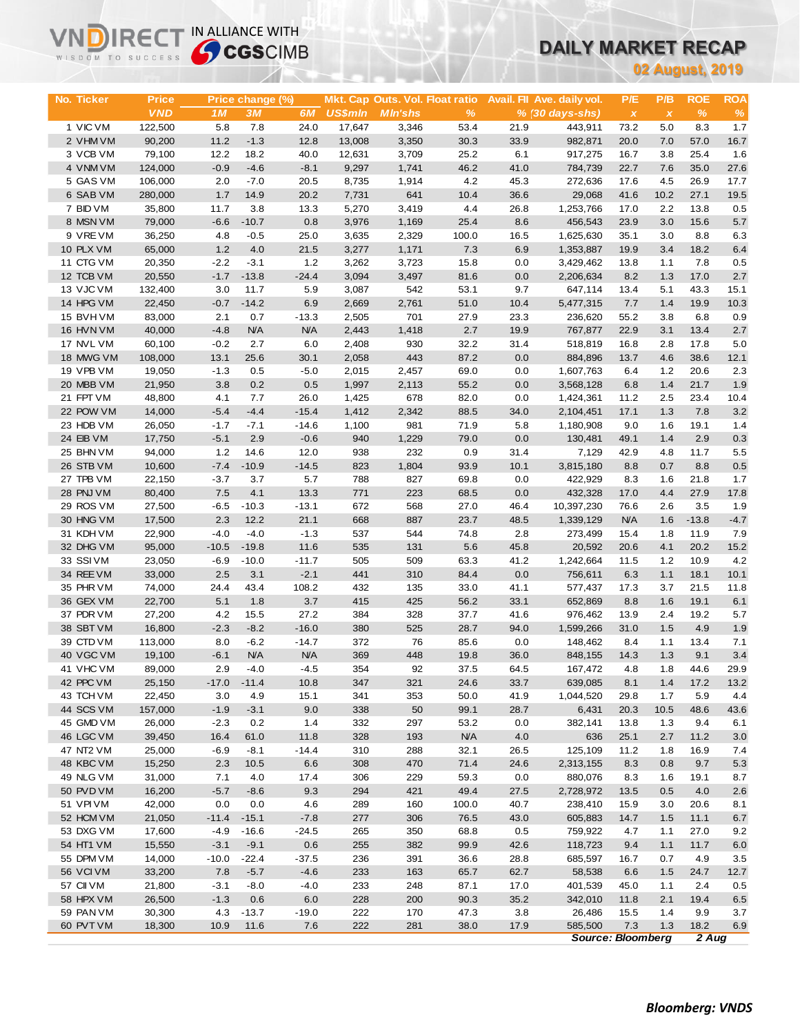# **DAILY MARKET RECAP**

|                        | <b>Sy CGS</b> CIMB<br>WISDOM TO SUCCESS |                   |                      |                       |                  |                                 |              |                 |                            | UAILT MARKET RECAP       |              |                        |                 |
|------------------------|-----------------------------------------|-------------------|----------------------|-----------------------|------------------|---------------------------------|--------------|-----------------|----------------------------|--------------------------|--------------|------------------------|-----------------|
|                        |                                         |                   |                      |                       |                  |                                 |              |                 |                            |                          |              | <b>02 August, 2019</b> |                 |
|                        |                                         |                   |                      |                       |                  |                                 |              |                 |                            |                          |              |                        |                 |
| No. Ticker             | <b>Price</b>                            |                   | Price change (%)     |                       |                  | Mkt. Cap Outs. Vol. Float ratio |              |                 | Avail. Fil Ave. daily vol. | P/E                      | P/B          | <b>ROE</b>             | <b>ROA</b>      |
|                        | <b>VND</b>                              | 1M                | 3M                   | 6M                    | <b>US\$mln</b>   | <b>MIn'shs</b>                  | %            |                 | $% (30 days-shs)$          | $\pmb{\chi}$             | $\pmb{\chi}$ | %                      | $\%$            |
| 1 VIC VM<br>2 VHM VM   | 122,500<br>90,200                       | 5.8<br>11.2       | 7.8<br>$-1.3$        | 24.0<br>12.8          | 17,647<br>13,008 | 3,346<br>3,350                  | 53.4<br>30.3 | 21.9<br>33.9    | 443,911<br>982,871         | 73.2<br>20.0             | 5.0<br>7.0   | 8.3<br>57.0            | 1.7<br>16.7     |
| 3 VCB VM               | 79,100                                  | 12.2              | 18.2                 | 40.0                  | 12,631           | 3,709                           | 25.2         | 6.1             | 917,275                    | 16.7                     | 3.8          | 25.4                   | 1.6             |
| 4 VNM VM               | 124,000                                 | $-0.9$            | $-4.6$               | $-8.1$                | 9,297            | 1,741                           | 46.2         | 41.0            | 784,739                    | 22.7                     | 7.6          | 35.0                   | 27.6            |
| 5 GAS VM               | 106,000                                 | 2.0               | $-7.0$               | 20.5                  | 8,735            | 1,914                           | 4.2          | 45.3            | 272,636                    | 17.6                     | 4.5          | 26.9                   | 17.7            |
| 6 SAB VM               | 280,000                                 | 1.7               | 14.9                 | 20.2                  | 7,731            | 641                             | 10.4         | 36.6            | 29,068                     | 41.6                     | 10.2         | 27.1                   | 19.5            |
| 7 BID VM               | 35,800                                  | 11.7              | 3.8                  | 13.3                  | 5,270            | 3,419                           | 4.4          | 26.8            | 1,253,766                  | 17.0                     | 2.2          | 13.8                   | 0.5             |
| 8 MSN VM               | 79,000                                  | $-6.6$            | $-10.7$              | 0.8                   | 3,976            | 1,169                           | 25.4         | 8.6             | 456,543                    | 23.9                     | 3.0          | 15.6                   | 5.7             |
| 9 VREVM                | 36,250                                  | 4.8               | $-0.5$               | 25.0                  | 3,635            | 2,329                           | 100.0        | 16.5            | 1,625,630                  | 35.1                     | 3.0          | 8.8                    | 6.3             |
| 10 PLX VM              | 65,000                                  | 1.2               | 4.0                  | 21.5                  | 3,277            | 1,171                           | 7.3          | 6.9             | 1,353,887                  | 19.9                     | 3.4          | 18.2                   | 6.4             |
| 11 CTG VM              | 20,350                                  | $-2.2$            | $-3.1$               | 1.2                   | 3,262            | 3,723                           | 15.8         | 0.0             | 3,429,462                  | 13.8                     | 1.1          | 7.8                    | 0.5             |
| 12 TCB VM              | 20,550                                  | $-1.7$            | $-13.8$              | $-24.4$               | 3,094            | 3,497                           | 81.6         | 0.0             | 2,206,634                  | 8.2                      | 1.3          | 17.0                   | 2.7             |
| 13 VJC VM              | 132,400                                 | 3.0               | 11.7                 | 5.9                   | 3,087            | 542                             | 53.1         | 9.7             | 647,114                    | 13.4                     | 5.1          | 43.3                   | 15.1            |
| 14 HPG VM<br>15 BVH VM | 22,450                                  | $-0.7$<br>2.1     | $-14.2$<br>0.7       | 6.9                   | 2,669            | 2,761<br>701                    | 51.0         | 10.4            | 5,477,315                  | 7.7<br>55.2              | 1.4          | 19.9<br>6.8            | 10.3            |
| 16 HVN VM              | 83,000<br>40,000                        | $-4.8$            | <b>N/A</b>           | $-13.3$<br><b>N/A</b> | 2,505<br>2,443   | 1,418                           | 27.9<br>2.7  | 23.3<br>19.9    | 236,620<br>767,877         | 22.9                     | 3.8<br>3.1   | 13.4                   | 0.9<br>2.7      |
| 17 NVL VM              | 60,100                                  | $-0.2$            | 2.7                  | 6.0                   | 2,408            | 930                             | 32.2         | 31.4            | 518,819                    | 16.8                     | 2.8          | 17.8                   | 5.0             |
| 18 MWG VM              | 108,000                                 | 13.1              | 25.6                 | 30.1                  | 2,058            | 443                             | 87.2         | 0.0             | 884,896                    | 13.7                     | 4.6          | 38.6                   | 12.1            |
| 19 VPB VM              | 19,050                                  | $-1.3$            | 0.5                  | $-5.0$                | 2,015            | 2,457                           | 69.0         | 0.0             | 1,607,763                  | 6.4                      | 1.2          | 20.6                   | 2.3             |
| 20 MBB VM              | 21,950                                  | 3.8               | 0.2                  | 0.5                   | 1,997            | 2,113                           | 55.2         | 0.0             | 3,568,128                  | 6.8                      | 1.4          | 21.7                   | 1.9             |
| 21 FPT VM              | 48,800                                  | 4.1               | 7.7                  | 26.0                  | 1,425            | 678                             | 82.0         | 0.0             | 1,424,361                  | 11.2                     | 2.5          | 23.4                   | 10.4            |
| 22 POW VM              | 14,000                                  | $-5.4$            | $-4.4$               | $-15.4$               | 1,412            | 2,342                           | 88.5         | 34.0            | 2,104,451                  | 17.1                     | 1.3          | 7.8                    | 3.2             |
| 23 HDB VM              | 26,050                                  | $-1.7$            | $-7.1$               | $-14.6$               | 1,100            | 981                             | 71.9         | 5.8             | 1,180,908                  | 9.0                      | 1.6          | 19.1                   | 1.4             |
| 24 EIB VM              | 17,750                                  | $-5.1$            | 2.9                  | $-0.6$                | 940              | 1,229                           | 79.0         | 0.0             | 130,481                    | 49.1                     | 1.4          | 2.9                    | 0.3             |
| 25 BHN VM              | 94,000                                  | $1.2$             | 14.6                 | 12.0                  | 938              | 232                             | 0.9          | 31.4            | 7,129                      | 42.9                     | 4.8          | 11.7                   | 5.5             |
| 26 STB VM              | 10,600                                  | $-7.4$            | $-10.9$              | $-14.5$               | 823              | 1,804                           | 93.9         | 10.1            | 3,815,180                  | 8.8                      | 0.7          | 8.8                    | 0.5             |
| 27 TPB VM<br>28 PNJ VM | 22,150                                  | $-3.7$            | 3.7<br>4.1           | 5.7                   | 788              | 827<br>223                      | 69.8         | 0.0             | 422,929                    | 8.3<br>17.0              | 1.6<br>4.4   | 21.8<br>27.9           | 1.7             |
| 29 ROS VM              | 80,400<br>27,500                        | 7.5<br>$-6.5$     | $-10.3$              | 13.3<br>$-13.1$       | 771<br>672       | 568                             | 68.5<br>27.0 | 0.0<br>46.4     | 432,328<br>10,397,230      | 76.6                     | 2.6          | 3.5                    | 17.8<br>1.9     |
| 30 HNG VM              | 17,500                                  | 2.3               | 12.2                 | 21.1                  | 668              | 887                             | 23.7         | 48.5            | 1,339,129                  | <b>N/A</b>               | 1.6          | $-13.8$                | $-4.7$          |
| 31 KDH VM              | 22,900                                  | $-4.0$            | $-4.0$               | $-1.3$                | 537              | 544                             | 74.8         | 2.8             | 273,499                    | 15.4                     | 1.8          | 11.9                   | 7.9             |
| 32 DHG VM              | 95,000                                  | $-10.5$           | $-19.8$              | 11.6                  | 535              | 131                             | 5.6          | 45.8            | 20,592                     | 20.6                     | 4.1          | 20.2                   | 15.2            |
| 33 SSIVM               | 23,050                                  | $-6.9$            | $-10.0$              | $-11.7$               | 505              | 509                             | 63.3         | 41.2            | 1,242,664                  | 11.5                     | 1.2          | 10.9                   | 4.2             |
| 34 REE VM              | 33,000                                  | 2.5               | 3.1                  | $-2.1$                | 441              | 310                             | 84.4         | 0.0             | 756,611                    | 6.3                      | 1.1          | 18.1                   | 10.1            |
| 35 PHR VM              | 74,000                                  | 24.4              | 43.4                 | 108.2                 | 432              | 135                             | 33.0         | 41.1            | 577,437                    | 17.3                     | 3.7          | 21.5                   | 11.8            |
| 36 GEX VM              | 22,700                                  | 5.1               | 1.8                  | 3.7                   | 415              | 425                             | 56.2         | 33.1            | 652,869                    | 8.8                      | 1.6          | 19.1                   | 6.1             |
| 37 PDR VM              | 27,200                                  | 4.2               | 15.5                 | 27.2                  | 384              | 328                             | 37.7         | 41.6            | 976,462                    | 13.9                     | 2.4          | 19.2                   | 5.7             |
| 38 SBT VM              | 16,800                                  | $-2.3$            | $-8.2$               | $-16.0$               | 380              | 525                             | 28.7         | 94.0            | 1,599,266                  | 31.0                     | 1.5          | 4.9                    | 1.9             |
| 39 CTD VM<br>40 VGC VM | 113,000<br>19,100                       | 8.0<br>$-6.1$     | $-6.2$<br><b>N/A</b> | $-14.7$<br><b>N/A</b> | 372<br>369       | 76<br>448                       | 85.6<br>19.8 | 0.0<br>36.0     | 148,462<br>848,155         | 8.4                      | 1.1<br>1.3   | 13.4<br>9.1            | 7.1             |
| 41 VHC VM              | 89,000                                  | 2.9               | $-4.0$               | $-4.5$                | 354              | 92                              | 37.5         | 64.5            | 167,472                    | 14.3<br>4.8              | 1.8          | 44.6                   | $3.4\,$<br>29.9 |
| 42 PPC VM              | 25,150                                  | $-17.0$           | $-11.4$              | 10.8                  | 347              | 321                             | 24.6         | 33.7            | 639,085                    | 8.1                      | 1.4          | 17.2                   | 13.2            |
| 43 TCH VM              | 22,450                                  | 3.0               | 4.9                  | 15.1                  | 341              | 353                             | 50.0         | 41.9            | 1,044,520                  | 29.8                     | 1.7          | 5.9                    | 4.4             |
| 44 SCS VM              | 157,000                                 | $-1.9$            | $-3.1$               | 9.0                   | 338              | 50                              | 99.1         | 28.7            | 6,431                      | 20.3                     | 10.5         | 48.6                   | 43.6            |
| 45 GMD VM              | 26,000                                  | $-2.3$            | 0.2                  | 1.4                   | 332              | 297                             | 53.2         | 0.0             | 382,141                    | 13.8                     | 1.3          | 9.4                    | 6.1             |
| 46 LGC VM              | 39,450                                  | 16.4              | 61.0                 | 11.8                  | 328              | 193                             | <b>N/A</b>   | 4.0             | 636                        | 25.1                     | 2.7          | 11.2                   | 3.0             |
| 47 NT2 VM              | 25,000                                  | $-6.9$            | $-8.1$               | $-14.4$               | 310              | 288                             | 32.1         | 26.5            | 125,109                    | 11.2                     | 1.8          | 16.9                   | 7.4             |
| 48 KBC VM              | 15,250                                  | 2.3               | 10.5                 | 6.6                   | 308              | 470                             | 71.4         | 24.6            | 2,313,155                  | 8.3                      | 0.8          | 9.7                    | $5.3\,$         |
| 49 NLG VM              | 31,000                                  | 7.1               | 4.0                  | 17.4                  | 306              | 229                             | 59.3         | 0.0             | 880,076                    | 8.3                      | 1.6          | 19.1                   | 8.7             |
| 50 PVD VM              | 16,200                                  | $-5.7$            | $-8.6$               | 9.3                   | 294              | 421                             | 49.4         | 27.5            | 2,728,972                  | 13.5                     | 0.5          | 4.0                    | 2.6             |
| 51 VPI VM              | 42,000                                  | 0.0               | 0.0                  | 4.6                   | 289              | 160                             | 100.0        | 40.7            | 238,410                    | 15.9                     | 3.0          | 20.6                   | 8.1             |
| 52 HCM VM<br>53 DXG VM | 21,050<br>17,600                        | $-11.4$<br>$-4.9$ | $-15.1$<br>$-16.6$   | $-7.8$<br>$-24.5$     | 277<br>265       | 306<br>350                      | 76.5<br>68.8 | 43.0<br>$0.5\,$ | 605,883<br>759,922         | 14.7<br>4.7              | $1.5$<br>1.1 | 11.1<br>27.0           | 6.7<br>9.2      |
| 54 HT1 VM              | 15,550                                  | $-3.1$            | $-9.1$               | 0.6                   | 255              | 382                             | 99.9         | 42.6            | 118,723                    | 9.4                      | 1.1          | 11.7                   | 6.0             |
| 55 DPM VM              | 14,000                                  | $-10.0$           | $-22.4$              | $-37.5$               | 236              | 391                             | 36.6         | 28.8            | 685,597                    | 16.7                     | 0.7          | 4.9                    | 3.5             |
| 56 VCIVM               | 33,200                                  | 7.8               | $-5.7$               | $-4.6$                | 233              | 163                             | 65.7         | 62.7            | 58,538                     | 6.6                      | 1.5          | 24.7                   | 12.7            |
| 57 CII VM              | 21,800                                  | $-3.1$            | $-8.0$               | $-4.0$                | 233              | 248                             | 87.1         | 17.0            | 401,539                    | 45.0                     | 1.1          | 2.4                    | 0.5             |
| 58 HPX VM              | 26,500                                  | $-1.3$            | 0.6                  | 6.0                   | 228              | 200                             | 90.3         | 35.2            | 342,010                    | 11.8                     | 2.1          | 19.4                   | 6.5             |
| 59 PAN VM              | 30,300                                  | 4.3               | $-13.7$              | $-19.0$               | 222              | 170                             | 47.3         | 3.8             | 26,486                     | 15.5                     | 1.4          | 9.9                    | 3.7             |
| 60 PVT VM              | 18,300                                  | 10.9              | 11.6                 | 7.6                   | 222              | 281                             | 38.0         | 17.9            | 585,500                    | 7.3                      | 1.3          | 18.2                   | 6.9             |
|                        |                                         |                   |                      |                       |                  |                                 |              |                 |                            | <b>Source: Bloomberg</b> |              | 2 Aug                  |                 |

**VNDIRECT IN ALLIANCE WITH**